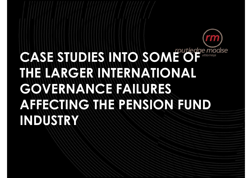# **CASE STUDIES INTO** SOME C *studiedge modise* **THE LARGER INTERNATIONAL GOVERNANCE FAILURES AFFECTING THE PENSION FUND INDUSTRY**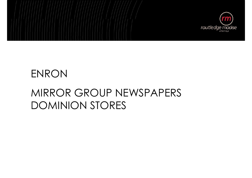

### ENRON

### MIRROR GROUP NEWSPAPERS DOMINION STORES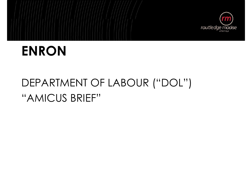

### **ENRON**

### DEPARTMENT OF LABOUR ("DOL") "AMICUS BRIEF"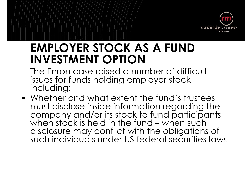

### **EMPLOYER STOCK AS A FUND INVESTMENT OPTION**

The Enron case raised a number of difficult issues for funds holding employer stock including:

**Whether and what extent the fund's trustees** must disclose inside information regarding the company and/or its stock to fund participants when stock is held in the fund – when such disclosure may conflict with the obligations of such individuals under US federal securities laws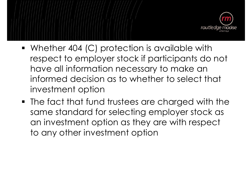

- Whether 404 (C) protection is available with respect to employer stock if participants do not have all information necessary to make an informed decision as to whether to select that investment option
- The fact that fund trustees are charged with the same standard for selecting employer stock as an investment option as they are with respect to any other investment option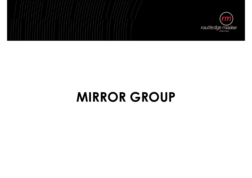

### **MIRROR GROUP**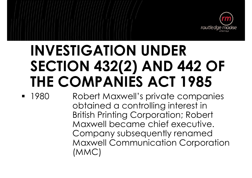

# **INVESTIGATION UNDER SECTION 432(2) AND 442 OF THE COMPANIES ACT 1985**

**1980** Robert Maxwell's private companies obtained a controlling interest in British Printing Corporation; Robert Company subsequently renamed Maxwell Communication Corporation (MMC)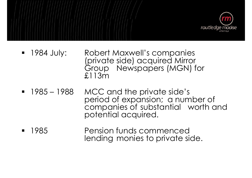

- **1984 July:** Robert Maxwell's companies (private side) acquired Mirror Group Newspapers (MGN) for £113m
- 1985 1988 MCC and the private side's period of expansion; a number of companies of substantial worth and potential acquired.
- **1985** Pension funds commenced lending monies to private side.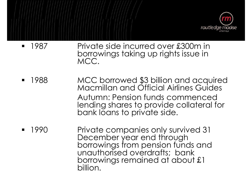

- 1987 Private side incurred over £300m in borrowings taking up rights issue in MCC.
- ß 1988 MCC borrowed \$3 billion and acquired Macmillan and Official Airlines Guides Autumn: Pension funds commenced lending shares to provide collateral for bank loans to private side.
- ß 1990 Private companies only survived 31 December year end through borrowings from pension funds and unauthorised overdrafts; bank borrowings remained at about £1 billion.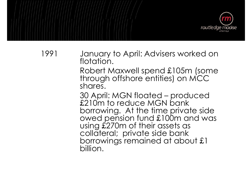

1991 January to April: Advisers worked on flotation.

> Robert Maxwell spend £105m (some through offshore entities) on MCC shares.

> 30 April: MGN floated – produced £210m to reduce MGN bank borrowing. At the time private side owed pension fund £100m and was using £270m of their assets as collateral; private side bank borrowings remained at about £1 billion.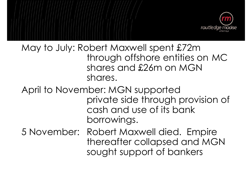

#### May to July: Robert Maxwell spent £72m through offshore entities on MC shares and £26m on MGN shares.

#### April to November: MGN supported private side through provision of cash and use of its bank borrowings.

5 November: Robert Maxwell died. Empire thereafter collapsed and MGN sought support of bankers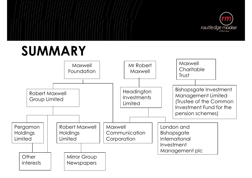

### **SUMMARY**

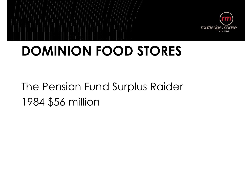

### **DOMINION FOOD STORES**

The Pension Fund Surplus Raider 1984 \$56 million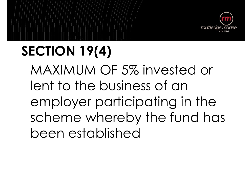

# **SECTION 19(4)** MAXIMUM OF 5% invested or lent to the business of an employer participating in the scheme whereby the fund has been established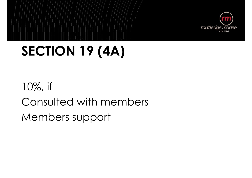

# **SECTION 19 (4A)**

10%, if Consulted with members Members support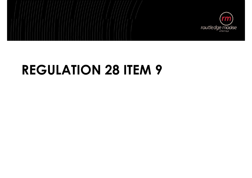

### **REGULATION 28 ITEM 9**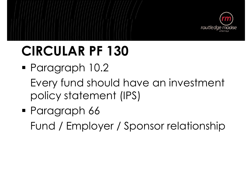

# **CIRCULAR PF 130**

- Paragraph 10.2 Every fund should have an investment policy statement (IPS)
- Paragraph 66 Fund / Employer / Sponsor relationship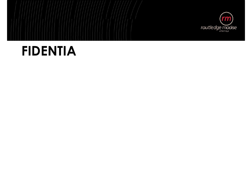

### **FIDENTIA**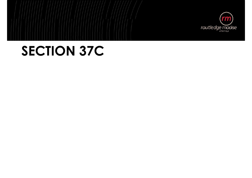

### **SECTION 37C**